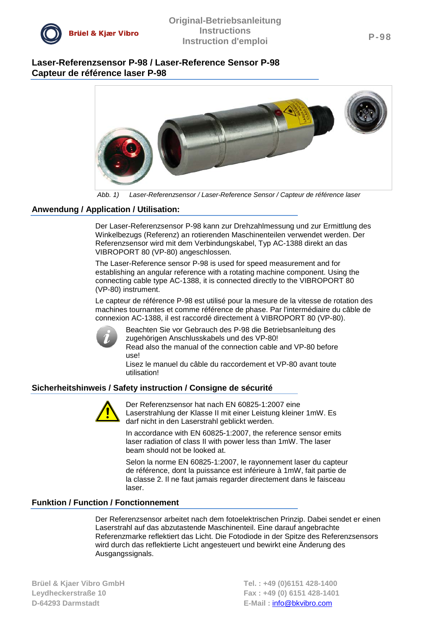

# **Laser-Referenzsensor P-98 / Laser-Reference Sensor P-98 Capteur de référence laser P-98**



*Abb. 1) Laser-Referenzsensor / Laser-Reference Sensor / Capteur de référence laser*

### **Anwendung / Application / Utilisation:**

Der Laser-Referenzsensor P-98 kann zur Drehzahlmessung und zur Ermittlung des Winkelbezugs (Referenz) an rotierenden Maschinenteilen verwendet werden. Der Referenzsensor wird mit dem Verbindungskabel, Typ AC-1388 direkt an das VIBROPORT 80 (VP-80) angeschlossen.

The Laser-Reference sensor P-98 is used for speed measurement and for establishing an angular reference with a rotating machine component. Using the connecting cable type AC-1388, it is connected directly to the VIBROPORT 80 (VP-80) instrument.

Le capteur de référence P-98 est utilisé pour la mesure de la vitesse de rotation des machines tournantes et comme référence de phase. Par l'intermédiaire du câble de connexion AC-1388, il est raccordé directement à VIBROPORT 80 (VP-80).



Beachten Sie vor Gebrauch des P-98 die Betriebsanleitung des zugehörigen Anschlusskabels und des VP-80! Read also the manual of the connection cable and VP-80 before use!

Lisez le manuel du câble du raccordement et VP-80 avant toute utilisation!

## **Sicherheitshinweis / Safety instruction / Consigne de sécurité**



Der Referenzsensor hat nach EN 60825-1:2007 eine Laserstrahlung der Klasse II mit einer Leistung kleiner 1mW. Es darf nicht in den Laserstrahl geblickt werden.

In accordance with EN 60825-1:2007, the reference sensor emits laser radiation of class II with power less than 1mW. The laser beam should not be looked at.

Selon la norme EN 60825-1:2007, le rayonnement laser du capteur de référence, dont la puissance est inférieure à 1mW, fait partie de la classe 2. Il ne faut jamais regarder directement dans le faisceau laser.

### **Funktion / Function / Fonctionnement**

Der Referenzsensor arbeitet nach dem fotoelektrischen Prinzip. Dabei sendet er einen Laserstrahl auf das abzutastende Maschinenteil. Eine darauf angebrachte Referenzmarke reflektiert das Licht. Die Fotodiode in der Spitze des Referenzsensors wird durch das reflektierte Licht angesteuert und bewirkt eine Änderung des Ausgangssignals.

**D-64293 Darmstadt E-Mail :** [info@bkvibro.com](mailto:info@bkvibro.com)

**Brüel & Kjaer Vibro GmbH Tel. : +49 (0)6151 428-1400 Leydheckerstraße 10 Fax : +49 (0) 6151 428-1401**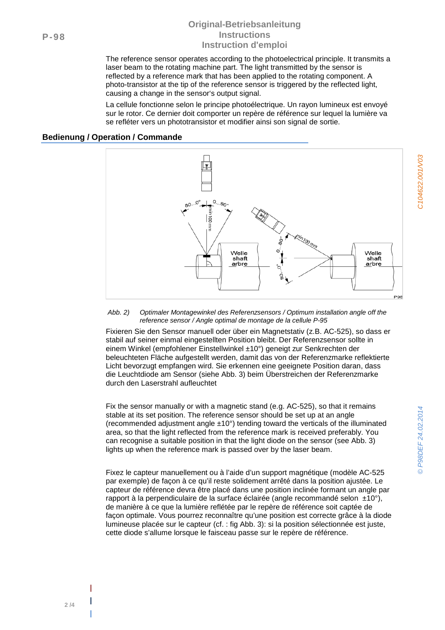## **Original-Betriebsanleitung Instructions [Instruction](http://dict.leo.org/frde?lp=frde&p=DOKJAA&search=instruction&trestr=0x8001) [d'emploi](http://dict.leo.org/frde?lp=frde&p=DOKJAA&search=d%27emploi&trestr=0x8001)**

The reference sensor operates according to the photoelectrical principle. It transmits a laser beam to the rotating machine part. The light transmitted by the sensor is reflected by a reference mark that has been applied to the rotating component. A photo-transistor at the tip of the reference sensor is triggered by the reflected light, causing a change in the sensor's output signal.

La cellule fonctionne selon le principe photoélectrique. Un rayon lumineux est envoyé sur le rotor. Ce dernier doit comporter un repère de référence sur lequel la lumière va se refléter vers un phototransistor et modifier ainsi son signal de sortie.

### **Bedienung / Operation / Commande**



#### *Abb. 2) Optimaler Montagewinkel des Referenzsensors / Optimum installation angle off the reference sensor / Angle optimal de montage de la cellule P-95*

Fixieren Sie den Sensor manuell oder über ein Magnetstativ (z.B. AC-525), so dass er stabil auf seiner einmal eingestellten Position bleibt. Der Referenzsensor sollte in einem Winkel (empfohlener Einstellwinkel ±10°) geneigt zur Senkrechten der beleuchteten Fläche aufgestellt werden, damit das von der Referenzmarke reflektierte Licht bevorzugt empfangen wird. Sie erkennen eine geeignete Position daran, dass die Leuchtdiode am Sensor (siehe [Abb. 3\)](#page-2-0) beim Überstreichen der Referenzmarke durch den Laserstrahl aufleuchtet

Fix the sensor manually or with a magnetic stand (e.g. AC-525), so that it remains stable at its set position. The reference sensor should be set up at an angle (recommended adjustment angle ±10°) tending toward the verticals of the illuminated area, so that the light reflected from the reference mark is received preferably. You can recognise a suitable position in that the light diode on the sensor (see [Abb. 3\)](#page-2-0) lights up when the reference mark is passed over by the laser beam.

Fixez le capteur manuellement ou à l'aide d'un support magnétique (modèle AC-525 par exemple) de façon à ce qu'il reste solidement arrêté dans la position ajustée. Le capteur de référence devra être placé dans une position inclinée formant un angle par rapport à la perpendiculaire de la surface éclairée (angle recommandé selon ±10°), de manière à ce que la lumière reflétée par le repère de référence soit captée de façon optimale. Vous pourrez reconnaître qu'une position est correcte grâce à la diode lumineuse placée sur le capteur (cf. : fig [Abb. 3\):](#page-2-0) si la position sélectionnée est juste, cette diode s'allume lorsque le faisceau passe sur le repère de référence.

**| | |**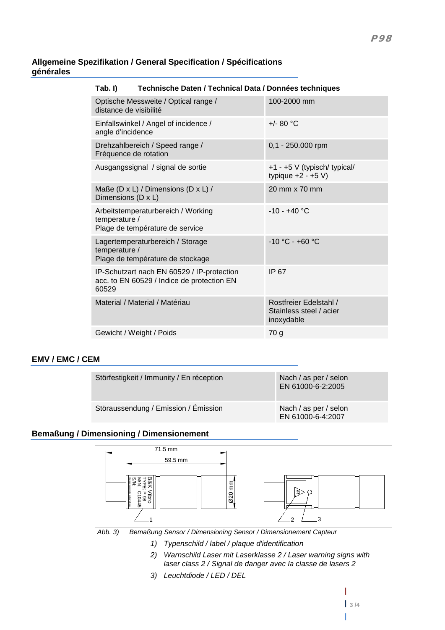## **Allgemeine Spezifikation / General Specification / Spécifications générales**

| Technische Daten / Technical Data / Données techniques<br>Tab. I)                                 |                                                                       |                                                                 |
|---------------------------------------------------------------------------------------------------|-----------------------------------------------------------------------|-----------------------------------------------------------------|
| Optische Messweite / Optical range /<br>distance de visibilité                                    |                                                                       | 100-2000 mm                                                     |
| Einfallswinkel / Angel of incidence /<br>angle d'incidence                                        |                                                                       | +/- 80 $^{\circ}$ C                                             |
| Drehzahlbereich / Speed range /<br>Fréquence de rotation                                          |                                                                       | 0,1 - 250.000 rpm                                               |
| Ausgangssignal / signal de sortie                                                                 |                                                                       | +1 - +5 V (typisch/ typical/<br>typique $+2 - +5$ V)            |
| Maße (D x L) / Dimensions (D x L) /<br>Dimensions (D x L)                                         |                                                                       | 20 mm x 70 mm                                                   |
| temperature /                                                                                     | Arbeitstemperaturbereich / Working<br>Plage de température de service | $-10 - +40$ °C                                                  |
| temperature /                                                                                     | Lagertemperaturbereich / Storage<br>Plage de température de stockage  | $-10 °C - +60 °C$                                               |
| IP-Schutzart nach EN 60529 / IP-protection<br>acc. to EN 60529 / Indice de protection EN<br>60529 |                                                                       | IP 67                                                           |
| Material / Material / Matériau                                                                    |                                                                       | Rostfreier Edelstahl /<br>Stainless steel / acier<br>inoxydable |
|                                                                                                   | Gewicht / Weight / Poids                                              | 70 g                                                            |
|                                                                                                   |                                                                       |                                                                 |

# **EMV / EMC / CEM**

| Störfestigkeit / Immunity / En réception | Nach / as per / selon<br>EN 61000-6-2:2005 |
|------------------------------------------|--------------------------------------------|
| Störaussendung / Emission / Émission     | Nach / as per / selon<br>EN 61000-6-4:2007 |

# **Bemaßung / Dimensioning / Dimensionement**



<span id="page-2-0"></span>*Abb. 3) Bemaßung Sensor / Dimensioning Sensor / Dimensionement Capteur*

- *1) Typenschild / label / plaque d'identification*
- *2) Warnschild Laser mit Laserklasse 2 / Laser warning signs with laser class 2 / Signal de danger avec la classe de lasers 2*
- *3) Leuchtdiode / LED / DEL*